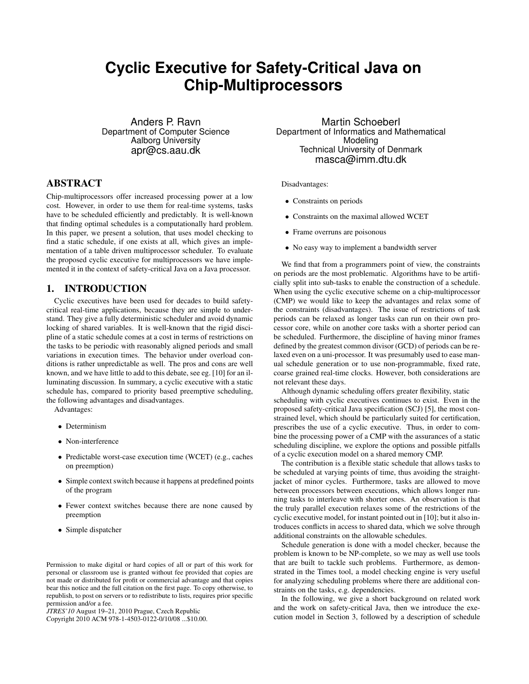# **Cyclic Executive for Safety-Critical Java on Chip-Multiprocessors**

Anders P. Ravn Department of Computer Science Aalborg University apr@cs.aau.dk

## ABSTRACT

Chip-multiprocessors offer increased processing power at a low cost. However, in order to use them for real-time systems, tasks have to be scheduled efficiently and predictably. It is well-known that finding optimal schedules is a computationally hard problem. In this paper, we present a solution, that uses model checking to find a static schedule, if one exists at all, which gives an implementation of a table driven multiprocessor scheduler. To evaluate the proposed cyclic executive for multiprocessors we have implemented it in the context of safety-critical Java on a Java processor.

## 1. INTRODUCTION

Cyclic executives have been used for decades to build safetycritical real-time applications, because they are simple to understand. They give a fully deterministic scheduler and avoid dynamic locking of shared variables. It is well-known that the rigid discipline of a static schedule comes at a cost in terms of restrictions on the tasks to be periodic with reasonably aligned periods and small variations in execution times. The behavior under overload conditions is rather unpredictable as well. The pros and cons are well known, and we have little to add to this debate, see eg. [10] for an illuminating discussion. In summary, a cyclic executive with a static schedule has, compared to priority based preemptive scheduling, the following advantages and disadvantages.

Advantages:

- Determinism
- Non-interference
- Predictable worst-case execution time (WCET) (e.g., caches on preemption)
- Simple context switch because it happens at predefined points of the program
- Fewer context switches because there are none caused by preemption
- Simple dispatcher

Permission to make digital or hard copies of all or part of this work for personal or classroom use is granted without fee provided that copies are not made or distributed for profit or commercial advantage and that copies bear this notice and the full citation on the first page. To copy otherwise, to republish, to post on servers or to redistribute to lists, requires prior specific permission and/or a fee.

*JTRES'10* August 19–21, 2010 Prague, Czech Republic

Copyright 2010 ACM 978-1-4503-0122-0/10/08 ...\$10.00.

Martin Schoeberl Department of Informatics and Mathematical Modeling Technical University of Denmark masca@imm.dtu.dk

Disadvantages:

- Constraints on periods
- Constraints on the maximal allowed WCET
- Frame overruns are poisonous
- No easy way to implement a bandwidth server

We find that from a programmers point of view, the constraints on periods are the most problematic. Algorithms have to be artificially split into sub-tasks to enable the construction of a schedule. When using the cyclic executive scheme on a chip-multiprocessor (CMP) we would like to keep the advantages and relax some of the constraints (disadvantages). The issue of restrictions of task periods can be relaxed as longer tasks can run on their own processor core, while on another core tasks with a shorter period can be scheduled. Furthermore, the discipline of having minor frames defined by the greatest common divisor (GCD) of periods can be relaxed even on a uni-processor. It was presumably used to ease manual schedule generation or to use non-programmable, fixed rate, coarse grained real-time clocks. However, both considerations are not relevant these days.

Although dynamic scheduling offers greater flexibility, static scheduling with cyclic executives continues to exist. Even in the proposed safety-critical Java specification (SCJ) [5], the most constrained level, which should be particularly suited for certification, prescribes the use of a cyclic executive. Thus, in order to combine the processing power of a CMP with the assurances of a static scheduling discipline, we explore the options and possible pitfalls of a cyclic execution model on a shared memory CMP.

The contribution is a flexible static schedule that allows tasks to be scheduled at varying points of time, thus avoiding the straightjacket of minor cycles. Furthermore, tasks are allowed to move between processors between executions, which allows longer running tasks to interleave with shorter ones. An observation is that the truly parallel execution relaxes some of the restrictions of the cyclic executive model, for instant pointed out in [10]; but it also introduces conflicts in access to shared data, which we solve through additional constraints on the allowable schedules.

Schedule generation is done with a model checker, because the problem is known to be NP-complete, so we may as well use tools that are built to tackle such problems. Furthermore, as demonstrated in the Times tool, a model checking engine is very useful for analyzing scheduling problems where there are additional constraints on the tasks, e.g. dependencies.

In the following, we give a short background on related work and the work on safety-critical Java, then we introduce the execution model in Section 3, followed by a description of schedule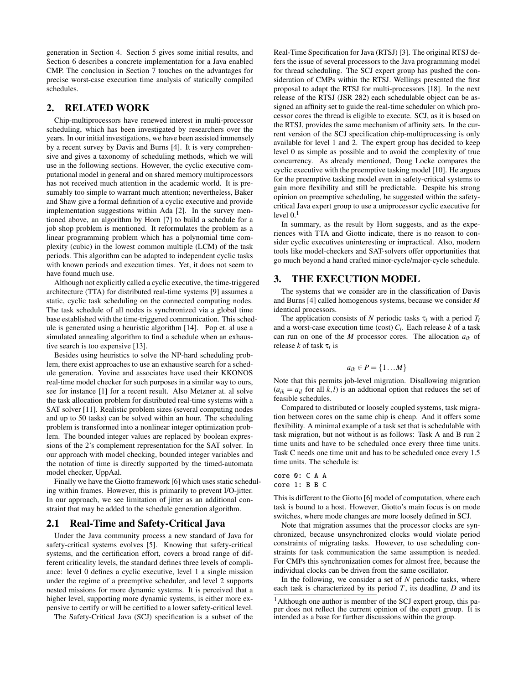generation in Section 4. Section 5 gives some initial results, and Section 6 describes a concrete implementation for a Java enabled CMP. The conclusion in Section 7 touches on the advantages for precise worst-case execution time analysis of statically compiled schedules.

## 2. RELATED WORK

Chip-multiprocessors have renewed interest in multi-processor scheduling, which has been investigated by researchers over the years. In our initial investigations, we have been assisted immensely by a recent survey by Davis and Burns [4]. It is very comprehensive and gives a taxonomy of scheduling methods, which we will use in the following sections. However, the cyclic executive computational model in general and on shared memory multiprocessors has not received much attention in the academic world. It is presumably too simple to warrant much attention; nevertheless, Baker and Shaw give a formal definition of a cyclic executive and provide implementation suggestions within Ada [2]. In the survey mentioned above, an algorithm by Horn [7] to build a schedule for a job shop problem is mentioned. It reformulates the problem as a linear programming problem which has a polynomial time complexity (cubic) in the lowest common multiple (LCM) of the task periods. This algorithm can be adapted to independent cyclic tasks with known periods and execution times. Yet, it does not seem to have found much use.

Although not explicitly called a cyclic executive, the time-triggered architecture (TTA) for distributed real-time systems [9] assumes a static, cyclic task scheduling on the connected computing nodes. The task schedule of all nodes is synchronized via a global time base established with the time-triggered communication. This schedule is generated using a heuristic algorithm [14]. Pop et. al use a simulated annealing algorithm to find a schedule when an exhaustive search is too expensive [13].

Besides using heuristics to solve the NP-hard scheduling problem, there exist approaches to use an exhaustive search for a schedule generation. Yovine and associates have used their KKONOS real-time model checker for such purposes in a similar way to ours, see for instance [1] for a recent result. Also Metzner at. al solve the task allocation problem for distributed real-time systems with a SAT solver [11]. Realistic problem sizes (several computing nodes and up to 50 tasks) can be solved within an hour. The scheduling problem is transformed into a nonlinear integer optimization problem. The bounded integer values are replaced by boolean expressions of the 2's complement representation for the SAT solver. In our approach with model checking, bounded integer variables and the notation of time is directly supported by the timed-automata model checker, UppAal.

Finally we have the Giotto framework [6] which uses static scheduling within frames. However, this is primarily to prevent I/O-jitter. In our approach, we see limitation of jitter as an additional constraint that may be added to the schedule generation algorithm.

#### 2.1 Real-Time and Safety-Critical Java

Under the Java community process a new standard of Java for safety-critical systems evolves [5]. Knowing that safety-critical systems, and the certification effort, covers a broad range of different criticality levels, the standard defines three levels of compliance: level 0 defines a cyclic executive, level 1 a single mission under the regime of a preemptive scheduler, and level 2 supports nested missions for more dynamic systems. It is perceived that a higher level, supporting more dynamic systems, is either more expensive to certify or will be certified to a lower safety-critical level.

The Safety-Critical Java (SCJ) specification is a subset of the

Real-Time Specification for Java (RTSJ) [3]. The original RTSJ defers the issue of several processors to the Java programming model for thread scheduling. The SCJ expert group has pushed the consideration of CMPs within the RTSJ. Wellings presented the first proposal to adapt the RTSJ for multi-processors [18]. In the next release of the RTSJ (JSR 282) each schedulable object can be assigned an affinity set to guide the real-time scheduler on which processor cores the thread is eligible to execute. SCJ, as it is based on the RTSJ, provides the same mechanism of affinity sets. In the current version of the SCJ specification chip-multiprocessing is only available for level 1 and 2. The expert group has decided to keep level 0 as simple as possible and to avoid the complexity of true concurrency. As already mentioned, Doug Locke compares the cyclic executive with the preemptive tasking model [10]. He argues for the preemptive tasking model even in safety-critical systems to gain more flexibility and still be predictable. Despite his strong opinion on preemptive scheduling, he suggested within the safetycritical Java expert group to use a uniprocessor cyclic executive for level  $0<sup>1</sup>$ 

In summary, as the result by Horn suggests, and as the experiences with TTA and Giotto indicate, there is no reason to consider cyclic executives uninteresting or impractical. Also, modern tools like model-checkers and SAT-solvers offer opportunities that go much beyond a hand crafted minor-cycle/major-cycle schedule.

### 3. THE EXECUTION MODEL

The systems that we consider are in the classification of Davis and Burns [4] called homogenous systems, because we consider *M* identical processors.

The application consists of *N* periodic tasks  $\tau$ *i* with a period  $T$ *i* and a worst-case execution time (cost) *Ci* . Each release *k* of a task can run on one of the *M* processor cores. The allocation *aik* of release *k* of task τ*i* is

$$
a_{ik} \in P = \{1 \dots M\}
$$

Note that this permits job-level migration. Disallowing migration  $(a_{ik} = a_{il}$  for all  $k, l$ ) is an addtional option that reduces the set of feasible schedules.

Compared to distributed or loosely coupled systems, task migration between cores on the same chip is cheap. And it offers some flexibility. A minimal example of a task set that is schedulable with task migration, but not without is as follows: Task A and B run 2 time units and have to be scheduled once every three time units. Task C needs one time unit and has to be scheduled once every 1.5 time units. The schedule is:

core 0: C A A core 1: B B C

This is different to the Giotto [6] model of computation, where each task is bound to a host. However, Giotto's main focus is on mode switches, where mode changes are more loosely defined in SCJ.

Note that migration assumes that the processor clocks are synchronized, because unsynchronized clocks would violate period constraints of migrating tasks. However, to use scheduling constraints for task communication the same assumption is needed. For CMPs this synchronization comes for almost free, because the individual clocks can be driven from the same oscillator.

In the following, we consider a set of *N* periodic tasks, where each task is characterized by its period *T*, its deadline, *D* and its

<sup>&</sup>lt;sup>1</sup>Although one author is member of the SCJ expert group, this paper does not reflect the current opinion of the expert group. It is intended as a base for further discussions within the group.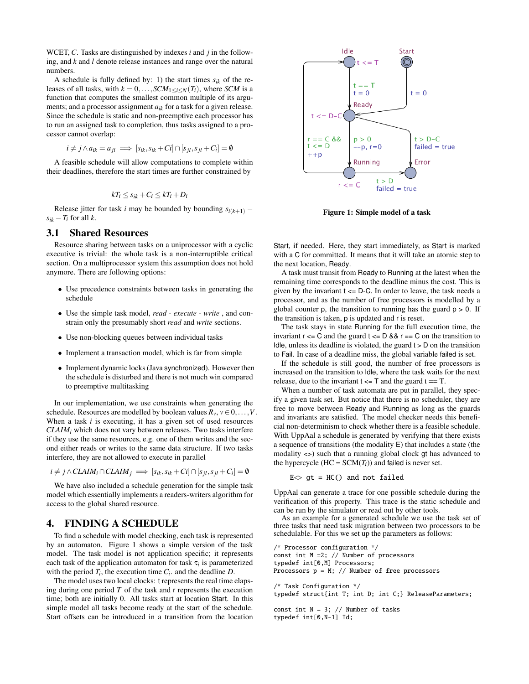WCET, *C*. Tasks are distinguished by indexes *i* and *j* in the following, and *k* and *l* denote release instances and range over the natural numbers.

A schedule is fully defined by: 1) the start times  $s_{ik}$  of the releases of all tasks, with  $k = 0, \ldots, SCM_{1 \le i \le N}(T_i)$ , where *SCM* is a function that computes the smallest common multiple of its arguments; and a processor assignment *aik* for a task for a given release. Since the schedule is static and non-preemptive each processor has to run an assigned task to completion, thus tasks assigned to a processor cannot overlap:

$$
i \neq j \wedge a_{ik} = a_{jl} \implies [s_{ik}, s_{ik} + Ci] \cap [s_{jl}, s_{jl} + C_i] = \emptyset
$$

A feasible schedule will allow computations to complete within their deadlines, therefore the start times are further constrained by

$$
kT_i \leq s_{ik} + C_i \leq kT_i + D_i
$$

Release jitter for task *i* may be bounded by bounding  $s_{i(k+1)}$  –  $s_{ik} - T_i$  for all *k*.

## 3.1 Shared Resources

Resource sharing between tasks on a uniprocessor with a cyclic executive is trivial: the whole task is a non-interruptible critical section. On a multiprocessor system this assumption does not hold anymore. There are following options:

- Use precedence constraints between tasks in generating the schedule
- Use the simple task model, *read execute write* , and constrain only the presumably short *read* and *write* sections.
- Use non-blocking queues between individual tasks
- Implement a transaction model, which is far from simple
- Implement dynamic locks (Java synchronized). However then the schedule is disturbed and there is not much win compared to preemptive multitasking

In our implementation, we use constraints when generating the schedule. Resources are modelled by boolean values  $R_v$ ,  $v \in 0, \ldots, V$ . When a task *i* is executing, it has a given set of used resources *CLAIMi* which does not vary between releases. Two tasks interfere if they use the same resources, e.g. one of them writes and the second either reads or writes to the same data structure. If two tasks interfere, they are not allowed to execute in parallel

$$
i \neq j \land CLAIM_i \cap CLAIM_j \implies [s_{ik}, s_{ik} + Ci] \cap [s_{jl}, s_{jl} + C_i] = \emptyset
$$

We have also included a schedule generation for the simple task model which essentially implements a readers-writers algorithm for access to the global shared resource.

### 4. FINDING A SCHEDULE

To find a schedule with model checking, each task is represented by an automaton. Figure 1 shows a simple version of the task model. The task model is not application specific; it represents each task of the application automaton for task τ*i* is parameterized with the period  $T_i$ , the execution time  $C_i$ , and the deadline  $D$ .

The model uses two local clocks: t represents the real time elapsing during one period *T* of the task and r represents the execution time; both are initially 0. All tasks start at location Start. In this simple model all tasks become ready at the start of the schedule. Start offsets can be introduced in a transition from the location



Figure 1: Simple model of a task

Start, if needed. Here, they start immediately, as Start is marked with a C for committed. It means that it will take an atomic step to the next location, Ready.

A task must transit from Ready to Running at the latest when the remaining time corresponds to the deadline minus the cost. This is given by the invariant  $t \leq D-C$ . In order to leave, the task needs a processor, and as the number of free processors is modelled by a global counter  $p$ , the transition to running has the guard  $p > 0$ . If the transition is taken, p is updated and r is reset.

The task stays in state Running for the full execution time, the invariant  $r \leq C$  and the guard  $t \leq D$  &&  $r = C$  on the transition to Idle, unless its deadline is violated, the guard  $t > D$  on the transition to Fail. In case of a deadline miss, the global variable failed is set.

If the schedule is still good, the number of free processors is increased on the transition to Idle, where the task waits for the next release, due to the invariant  $t \leq T$  and the guard  $t = T$ .

When a number of task automata are put in parallel, they specify a given task set. But notice that there is no scheduler, they are free to move between Ready and Running as long as the guards and invariants are satisfied. The model checker needs this beneficial non-determinism to check whether there is a feasible schedule. With UppAal a schedule is generated by verifying that there exists a sequence of transitions (the modality E) that includes a state (the modality <>) such that a running global clock gt has advanced to the hypercycle  $(HC = SCM(T_i))$  and failed is never set.

 $E \ll 9t = HC()$  and not failed

UppAal can generate a trace for one possible schedule during the verification of this property. This trace is the static schedule and can be run by the simulator or read out by other tools.

As an example for a generated schedule we use the task set of three tasks that need task migration between two processors to be schedulable. For this we set up the parameters as follows:

```
/* Processor configuration */
const int M =2; // Number of processors
typedef int[0,M] Processors;
Processors p = M; // Number of free processors
/* Task Configuration */
```
typedef struct{int T; int D; int C;} ReleaseParameters;

const int  $N = 3$ ; // Number of tasks typedef int[0,N-1] Id;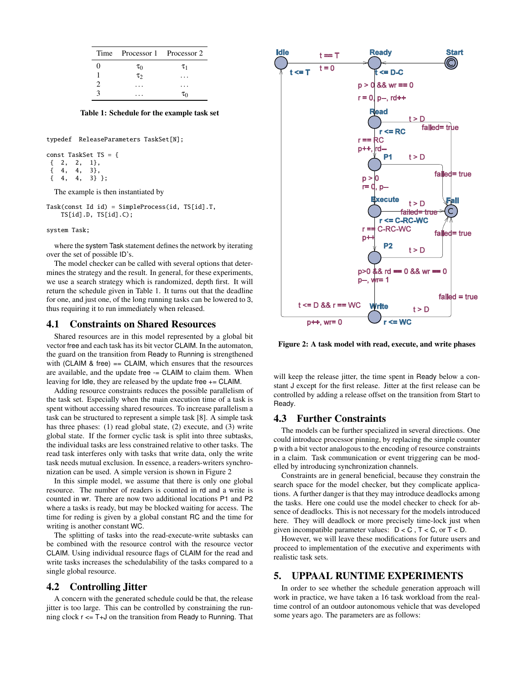|   | Time Processor 1 Processor 2 |          |
|---|------------------------------|----------|
|   | το                           | $\tau_1$ |
|   | $\tau$                       |          |
| 2 |                              |          |
|   |                              | το       |

Table 1: Schedule for the example task set

typedef ReleaseParameters TaskSet[N];

const TaskSet TS = { { 2, 2, 1}, { 4, 4, 3}, { 4, 4, 3} };

The example is then instantiated by

Task(const Id id) = SimpleProcess(id, TS[id].T, TS[id].D, TS[id].C);

system Task;

where the system Task statement defines the network by iterating over the set of possible ID's.

The model checker can be called with several options that determines the strategy and the result. In general, for these experiments, we use a search strategy which is randomized, depth first. It will return the schedule given in Table 1. It turns out that the deadline for one, and just one, of the long running tasks can be lowered to 3, thus requiring it to run immediately when released.

#### 4.1 Constraints on Shared Resources

Shared resources are in this model represented by a global bit vector free and each task has its bit vector CLAIM. In the automaton, the guard on the transition from Ready to Running is strengthened with (CLAIM & free) == CLAIM, which ensures that the resources are available, and the update free -= CLAIM to claim them. When leaving for Idle, they are released by the update free += CLAIM.

Adding resource constraints reduces the possible parallelism of the task set. Especially when the main execution time of a task is spent without accessing shared resources. To increase parallelism a task can be structured to represent a simple task [8]. A simple task has three phases: (1) read global state, (2) execute, and (3) write global state. If the former cyclic task is split into three subtasks, the individual tasks are less constrained relative to other tasks. The read task interferes only with tasks that write data, only the write task needs mutual exclusion. In essence, a readers-writers synchronization can be used. A simple version is shown in Figure 2

In this simple model, we assume that there is only one global resource. The number of readers is counted in rd and a write is counted in wr. There are now two additional locations P1 and P2 where a tasks is ready, but may be blocked waiting for access. The time for reding is given by a global constant RC and the time for writing is another constant WC.

The splitting of tasks into the read-execute-write subtasks can be combined with the resource control with the resource vector CLAIM. Using individual resource flags of CLAIM for the read and write tasks increases the schedulability of the tasks compared to a single global resource.

### 4.2 Controlling Jitter

A concern with the generated schedule could be that, the release jitter is too large. This can be controlled by constraining the running clock r <= T+J on the transition from Ready to Running. That



Figure 2: A task model with read, execute, and write phases

will keep the release jitter, the time spent in Ready below a constant J except for the first release. Jitter at the first release can be controlled by adding a release offset on the transition from Start to Ready.

## 4.3 Further Constraints

The models can be further specialized in several directions. One could introduce processor pinning, by replacing the simple counter p with a bit vector analogous to the encoding of resource constraints in a claim. Task communication or event triggering can be modelled by introducing synchronization channels.

Constraints are in general beneficial, because they constrain the search space for the model checker, but they complicate applications. A further danger is that they may introduce deadlocks among the tasks. Here one could use the model checker to check for absence of deadlocks. This is not necessary for the models introduced here. They will deadlock or more precisely time-lock just when given incompatible parameter values:  $D < C$ ,  $T < C$ , or  $T < D$ .

However, we will leave these modifications for future users and proceed to implementation of the executive and experiments with realistic task sets.

## 5. UPPAAL RUNTIME EXPERIMENTS

In order to see whether the schedule generation approach will work in practice, we have taken a 16 task workload from the realtime control of an outdoor autonomous vehicle that was developed some years ago. The parameters are as follows: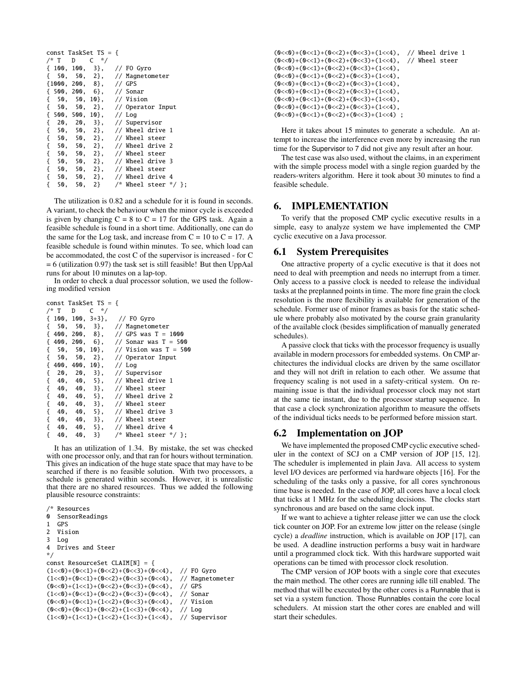| const TaskSet TS = { |  |          |                                           |  |                                  |  |
|----------------------|--|----------|-------------------------------------------|--|----------------------------------|--|
|                      |  | $/* T D$ | $C^*$                                     |  |                                  |  |
|                      |  |          |                                           |  | ${100, 100, 3}, // F0 Gyro$      |  |
|                      |  |          |                                           |  | $\{50, 50, 2\}, //$ Magnetometer |  |
|                      |  |          | $\{1000, 200, 8\}, /$ (GPS)               |  |                                  |  |
|                      |  |          | $\{500, 200, 6\}, \frac{\ }{\ }$ // Sonar |  |                                  |  |
|                      |  |          | $\{50, 50, 10\}, \frac{7}{10}$ Vision     |  |                                  |  |
|                      |  |          |                                           |  | { 50, 50, 2}, // Operator Input  |  |
|                      |  |          | $\{500, 500, 10\}, / / Log$               |  |                                  |  |
|                      |  |          |                                           |  | $\{20, 20, 3\}, /$ Supervisor    |  |
|                      |  |          | $\{50, 50, 2\},$                          |  | // Wheel drive 1                 |  |
|                      |  |          | $\{50, 50, 2\},$                          |  | // Wheel steer                   |  |
|                      |  |          | ${50, 50, 2},$                            |  | // Wheel drive 2                 |  |
| ₹                    |  |          |                                           |  | 50, 50, 2}, //Wheel steer        |  |
| ₹                    |  |          |                                           |  | 50, 50, 2}, // Wheel drive 3     |  |
| ſ                    |  |          |                                           |  | 50, 50, 2}, // Wheel steer       |  |
| €                    |  |          |                                           |  | 50, 50, 2}, //Wheel drive 4      |  |
| €                    |  |          |                                           |  | 50, 50, 2} /* Wheel steer */ };  |  |

The utilization is 0.82 and a schedule for it is found in seconds. A variant, to check the behaviour when the minor cycle is exceeded is given by changing  $C = 8$  to  $C = 17$  for the GPS task. Again a feasible schedule is found in a short time. Additionally, one can do the same for the Log task, and increase from  $C = 10$  to  $C = 17$ . A feasible schedule is found within minutes. To see, which load can be accommodated, the cost C of the supervisor is increased - for C = 6 (utilization 0.97) the task set is still feasible! But then UppAal runs for about 10 minutes on a lap-top.

In order to check a dual processor solution, we used the following modified version

| const TaskSet TS = { |  |  |                                   |                                                  |  |
|----------------------|--|--|-----------------------------------|--------------------------------------------------|--|
|                      |  |  | $\frac{1}{2}$ T D C $\frac{1}{2}$ |                                                  |  |
|                      |  |  |                                   | $\{100, 100, 3+3\}, /$ // FO Gyro                |  |
|                      |  |  |                                   | { 50, 50, 3}, // Magnetometer                    |  |
|                      |  |  |                                   | $\{400, 200, 8\},$ // GPS was T = 1000           |  |
|                      |  |  |                                   | $\{400, 200, 6\}, \frac{7}{3}$ Sonar was T = 500 |  |
|                      |  |  |                                   | $\{50, 50, 10\}, /$ Vision was T = 500           |  |
|                      |  |  |                                   | { 50, 50, 2}, // Operator Input                  |  |
|                      |  |  | $\{400, 400, 10\}, / Log$         |                                                  |  |
|                      |  |  |                                   | $\{20, 20, 3\}, /$ Supervisor                    |  |
|                      |  |  |                                   | { 40, 40, 5}, // Wheel drive 1                   |  |
|                      |  |  |                                   | { 40, 40, 3}, // Wheel steer                     |  |
|                      |  |  |                                   | { 40, 40, 5}, // Wheel drive 2                   |  |
|                      |  |  |                                   | { 40, 40, 3}, // Wheel steer                     |  |
|                      |  |  |                                   | { 40, 40, 5}, // Wheel drive 3                   |  |
|                      |  |  |                                   | $\{40, 40, 3\}, //$ Wheel steer                  |  |
|                      |  |  |                                   | $\{40, 40, 5\}, /$ Wheel drive 4                 |  |
|                      |  |  |                                   | { 40, 40, 3} /* Wheel steer */ };                |  |

It has an utilization of 1.34. By mistake, the set was checked with one processor only, and that ran for hours without termination. This gives an indication of the huge state space that may have to be searched if there is no feasible solution. With two processors, a schedule is generated within seconds. However, it is unrealistic that there are no shared resources. Thus we added the following plausible resource constraints:

```
/* Resources
  SensorReadings
1 GPS
2 Vision
3 Log
4 Drives and Steer
*/
const ResourceSet CLAIM[N] = {
(1<<0)+(0<<1)+(0<<2)+(0<<3)+(0<<4), // FO Gyro
(1<<0)+(0<<1)+(0<<2)+(0<<3)+(0<<4), // Magnetometer
(0<<0)+(1<<1)+(0<<2)+(0<<3)+(0<<4), // GPS
(1<<0)+(0<<1)+(0<<2)+(0<<3)+(0<<4), // Sonar
(0<<0)+(0<<1)+(1<<2)+(0<<3)+(0<<4), // Vision
(0\ll0)+(0\ll1)+(0\ll2)+(1\ll3)+(0\ll4), // Log
(1<<0)+(1<<1)+(1<<2)+(1<<3)+(1<<4), // Supervisor
```

```
(0<<0)+(0<<1)+(0<<2)+(0<<3)+(1<<4), // Wheel drive 1
(0<<0)+(0<<1)+(0<<2)+(0<<3)+(1<<4), // Wheel steer
(0<<0)+(0<<1)+(0<<2)+(0<<3)+(1<<4),(0\le 0)+(0\le 1)+(0\le 2)+(0\le 3)+(1\le 4)(0<<0)+(0<<1)+(0<<2)+(0<<3)+(1<<4),(0<<0)+(0<<1)+(0<<2)+(0<<3)+(1<<4),(0<<0)+(0<<1)+(0<<2)+(0<<3)+(1<<4),(0<<0)+(0<<1)+(0<<2)+(0<<3)+(1<<4),(0<<0)+(0<<1)+(0<<2)+(0<<3)+(1<<4) ;
```
Here it takes about 15 minutes to generate a schedule. An attempt to increase the interference even more by increasing the run time for the Supervisor to 7 did not give any result after an hour.

The test case was also used, without the claims, in an experiment with the simple process model with a single region guarded by the readers-writers algorithm. Here it took about 30 minutes to find a feasible schedule.

## 6. IMPLEMENTATION

To verify that the proposed CMP cyclic executive results in a simple, easy to analyze system we have implemented the CMP cyclic executive on a Java processor.

#### 6.1 System Prerequisites

One attractive property of a cyclic executive is that it does not need to deal with preemption and needs no interrupt from a timer. Only access to a passive clock is needed to release the individual tasks at the preplanned points in time. The more fine grain the clock resolution is the more flexibility is available for generation of the schedule. Former use of minor frames as basis for the static schedule where probably also motivated by the course grain granularity of the available clock (besides simplification of manually generated schedules).

A passive clock that ticks with the processor frequency is usually available in modern processors for embedded systems. On CMP architectures the individual clocks are driven by the same oscillator and they will not drift in relation to each other. We assume that frequency scaling is not used in a safety-critical system. On remaining issue is that the individual processor clock may not start at the same tie instant, due to the processor startup sequence. In that case a clock synchronization algorithm to measure the offsets of the individual ticks needs to be performed before mission start.

## 6.2 Implementation on JOP

We have implemented the proposed CMP cyclic executive scheduler in the context of SCJ on a CMP version of JOP [15, 12]. The scheduler is implemented in plain Java. All access to system level I/O devices are performed via hardware objects [16]. For the scheduling of the tasks only a passive, for all cores synchronous time base is needed. In the case of JOP, all cores have a local clock that ticks at 1 MHz for the scheduling decisions. The clocks start synchronous and are based on the same clock input.

If we want to achieve a tighter release jitter we can use the clock tick counter on JOP. For an extreme low jitter on the release (single cycle) a *deadline* instruction, which is available on JOP [17], can be used. A deadline instruction performs a busy wait in hardware until a programmed clock tick. With this hardware supported wait operations can be timed with processor clock resolution.

The CMP version of JOP boots with a single core that executes the main method. The other cores are running idle till enabled. The method that will be executed by the other cores is a Runnable that is set via a system function. Those Runnables contain the core local schedulers. At mission start the other cores are enabled and will start their schedules.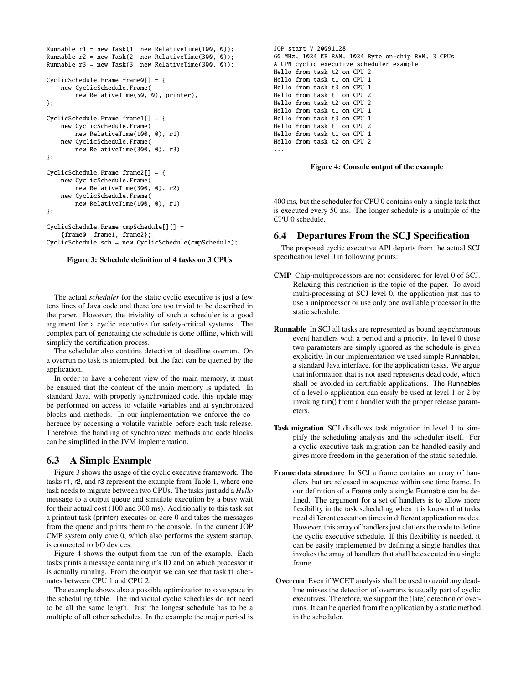```
Runnable r1 = new Task(1, new RelativeTime(100, 0));Runnable r2 = new Task(2, new RelativeTime(300, 0));Runnable r3 = new Task(3, new RelativeTime(300, 0));CyclicSchedule.Frame frame0[] = {
   new CyclicSchedule.Frame(
       new RelativeTime(50, 0), printer),
};
CyclicSchedule.Frame frame1[] = {
   new CyclicSchedule.Frame(
       new RelativeTime(100, 0), r1),
   new CyclicSchedule.Frame(
       new RelativeTime(300, 0), r3),
};
CyclicSchedule.Frame frame2[] = {
   new CyclicSchedule.Frame(
       new RelativeTime(300, 0), r2),
   new CyclicSchedule.Frame(
       new RelativeTime(100, 0), r1),
};
CyclicSchedule.Frame cmpSchedule[][] =
```
{frame0, frame1, frame2}; CyclicSchedule sch = new CyclicSchedule(cmpSchedule);



The actual *scheduler* for the static cyclic executive is just a few tens lines of Java code and therefore too trivial to be described in the paper. However, the triviality of such a scheduler is a good argument for a cyclic executive for safety-critical systems. The complex part of generating the schedule is done offline, which will simplify the certification process.

The scheduler also contains detection of deadline overrun. On a overrun no task is interrupted, but the fact can be queried by the application.

In order to have a coherent view of the main memory, it must be ensured that the content of the main memory is updated. In standard Java, with properly synchronized code, this update may be performed on access to volatile variables and at synchronized blocks and methods. In our implementation we enforce the coherence by accessing a volatile variable before each task release. Therefore, the handling of synchronized methods and code blocks can be simplified in the JVM implementation.

## 6.3 A Simple Example

Figure 3 shows the usage of the cyclic executive framework. The tasks r1, r2, and r3 represent the example from Table 1, where one task needs to migrate between two CPUs. The tasks just add a *Hello* message to a output queue and simulate execution by a busy wait for their actual cost (100 and 300 ms). Additionally to this task set a printout task (printer) executes on core 0 and takes the messages from the queue and prints them to the console. In the current JOP CMP system only core 0, which also performs the system startup, is connected to I/O devices.

Figure 4 shows the output from the run of the example. Each tasks prints a message containing it's ID and on which processor it is actually running. From the output we can see that task t1 alternates between CPU 1 and CPU 2.

The example shows also a possible optimization to save space in the scheduling table. The individual cyclic schedules do not need to be all the same length. Just the longest schedule has to be a multiple of all other schedules. In the example the major period is

```
JOP start V 20091128
60 MHz, 1024 KB RAM, 1024 Byte on-chip RAM, 3 CPUs
A CPM cyclic executive scheduler example:
Hello from task t2 on CPU 2
Hello from task t1 on CPU 1
Hello from task t3 on CPU 1
Hello from task t1 on CPU 2
Hello from task t2 on CPU 2
Hello from task t1 on CPU 1
Hello from task t3 on CPU 1
Hello from task t1 on CPU 2
Hello from task t1 on CPU 1
Hello from task t2 on CPU 2
...
```
#### Figure 4: Console output of the example

400 ms, but the scheduler for CPU 0 contains only a single task that is executed every 50 ms. The longer schedule is a multiple of the CPU 0 schedule.

#### 6.4 Departures From the SCJ Specification

The proposed cyclic executive API departs from the actual SCJ specification level 0 in following points:

- CMP Chip-multiprocessors are not considered for level 0 of SCJ. Relaxing this restriction is the topic of the paper. To avoid multi-processing at SCJ level 0, the application just has to use a uniprocessor or use only one available processor in the static schedule.
- Runnable In SCJ all tasks are represented as bound asynchronous event handlers with a period and a priority. In level 0 those two parameters are simply ignored as the schedule is given explicitly. In our implementation we used simple Runnables, a standard Java interface, for the application tasks. We argue that information that is not used represents dead code, which shall be avoided in certifiable applications. The Runnables of a level o application can easily be used at level 1 or 2 by invoking run() from a handler with the proper release parameters.
- Task migration SCJ disallows task migration in level 1 to simplify the scheduling analysis and the scheduler itself. For a cyclic executive task migration can be handled easily and gives more freedom in the generation of the static schedule.
- Frame data structure In SCJ a frame contains an array of handlers that are released in sequence within one time frame. In our definition of a Frame only a single Runnable can be defined. The argument for a set of handlers is to allow more flexibility in the task scheduling when it is known that tasks need different execution times in different application modes. However, this array of handlers just clutters the code to define the cyclic executive schedule. If this flexibility is needed, it can be easily implemented by defining a single handles that invokes the array of handlers that shall be executed in a single frame.
- Overrun Even if WCET analysis shall be used to avoid any deadline misses the detection of overruns is usually part of cyclic executives. Therefore, we support the (late) detection of overruns. It can be queried from the application by a static method in the scheduler.